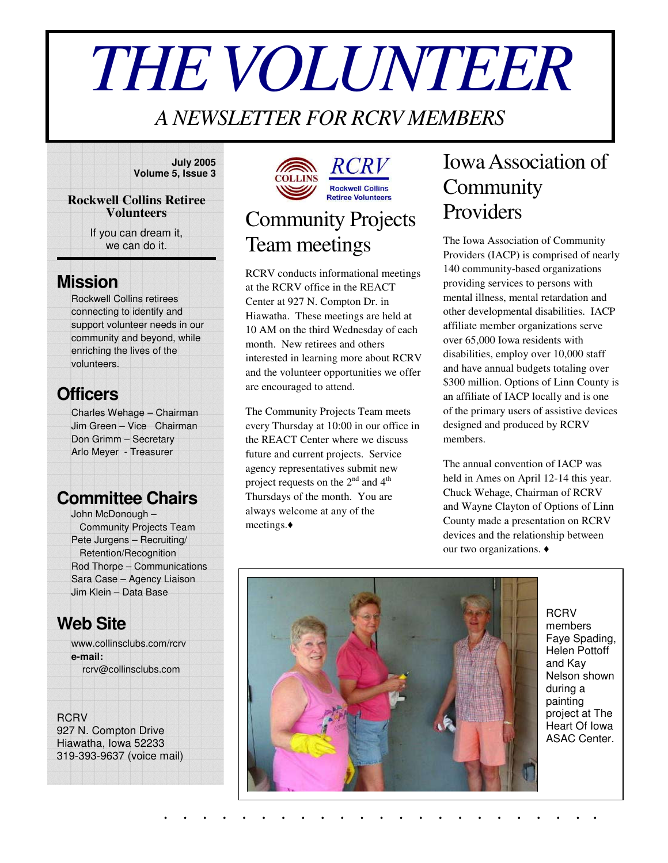# *THEVOLUNTEER*

### *A NEWSLETTER FOR RCRV MEMBERS*

#### **July 2005 Volume 5, Issue 3**

### **Rockwell Collins Retiree Volunteers**

If you can dream it, we can do it.

### **Mission**

Rockwell Collins retirees connecting to identify and support volunteer needs in our community and beyond, while enriching the lives of the volunteers.

### **Officers**

Charles Wehage – Chairman Jim Green – Vice Chairman Don Grimm – Secretary Arlo Meyer - Treasurer

### **Committee Chairs**

John McDonough – Community Projects Team Pete Jurgens – Recruiting/ Retention/Recognition Rod Thorpe – Communications Sara Case – Agency Liaison Jim Klein – Data Base

### **Web Site**

www.collinsclubs.com/rcrv **e-mail:** rcrv@collinsclubs.com

### **RCRV**

927 N. Compton Drive Hiawatha, Iowa 52233 319-393-9637 (voice mail)



## Community Projects Team meetings

RCRV conducts informational meetings at the RCRV office in the REACT Center at 927 N. Compton Dr. in Hiawatha. These meetings are held at 10 AM on the third Wednesday of each month. New retirees and others interested in learning more about RCRV and the volunteer opportunities we offer are encouraged to attend.

The Community Projects Team meets every Thursday at 10:00 in our office in the REACT Center where we discuss future and current projects. Service agency representatives submit new project requests on the  $2^{nd}$  and  $4^{th}$ Thursdays of the month. You are always welcome at any of the meetings.

### IowaAssociation of **Community** Providers

The Iowa Association of Community Providers (IACP) is comprised of nearly 140 community-based organizations providing services to persons with mental illness, mental retardation and other developmental disabilities. IACP affiliate member organizations serve over 65,000 Iowa residents with disabilities, employ over 10,000 staff and have annual budgets totaling over \$300 million. Options of Linn County is an affiliate of IACP locally and is one of the primary users of assistive devices designed and produced by RCRV members.

The annual convention of IACP was held in Ames on April 12-14 this year. Chuck Wehage, Chairman of RCRV and Wayne Clayton of Options of Linn County made a presentation on RCRV devices and the relationship between our two organizations.



. . . . . . . . . . . . . . . . . . . . . . .

**RCRV** members Faye Spading, Helen Pottoff and Kay Nelson shown during a painting project at The Heart Of Iowa ASAC Center.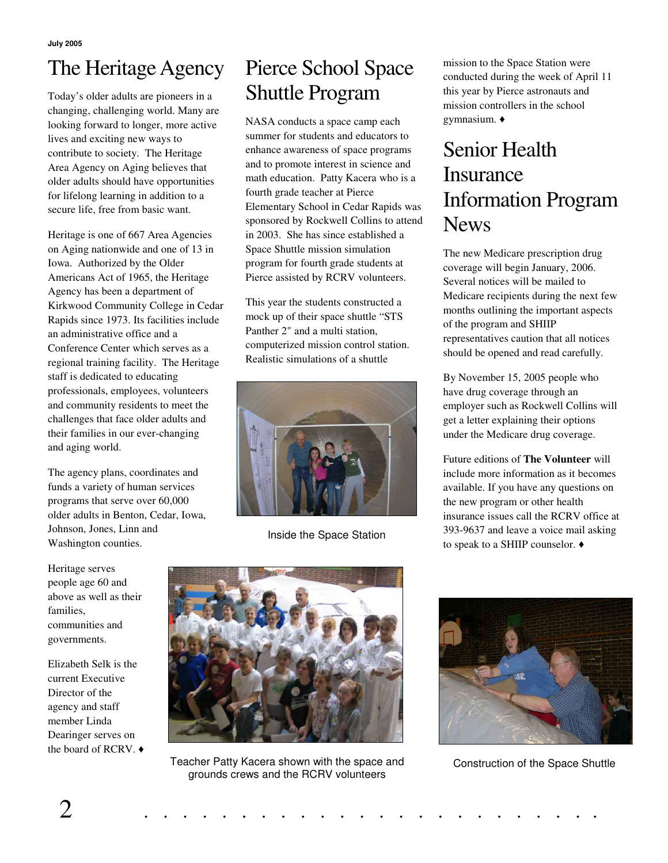## The Heritage Agency Pierce School Space

Today's older adults are pioneers in a changing, challenging world. Many are looking forward to longer, more active lives and exciting new ways to contribute to society. The Heritage Area Agency on Aging believes that older adults should have opportunities for lifelong learning in addition to a secure life, free from basic want.

Heritage is one of 667 Area Agencies on Aging nationwide and one of 13 in Iowa. Authorized by the Older Americans Act of 1965, the Heritage Agency has been a department of Kirkwood Community College in Cedar Rapids since 1973. Its facilities include an administrative office and a Conference Center which serves as a regional training facility. The Heritage staff is dedicated to educating professionals, employees, volunteers and community residents to meet the challenges that face older adults and their families in our ever-changing and aging world.

The agency plans, coordinates and funds a variety of human services programs that serve over 60,000 older adults in Benton, Cedar, Iowa, Johnson, Jones, Linn and Washington counties.

Heritage serves people age 60 and above as well as their families, communities and governments.

Elizabeth Selk is the current Executive Director of the agency and staff member Linda Dearinger serves on the board of RCRV.  $\triangleleft$ 

## Shuttle Program

NASA conducts a space camp each summer for students and educators to enhance awareness of space programs and to promote interest in science and math education. Patty Kacera who is a fourth grade teacher at Pierce Elementary School in Cedar Rapids was sponsored by Rockwell Collins to attend in 2003. She has since established a Space Shuttle mission simulation program for fourth grade students at Pierce assisted by RCRV volunteers.

This year the students constructed a mock up of their space shuttle "STS Panther 2" and a multi station, computerized mission control station. Realistic simulations of a shuttle



Inside the Space Station

mission to the Space Station were conducted during the week of April 11 this year by Pierce astronauts and mission controllers in the school gymnasium.

## Senior Health Insurance Information Program News

The new Medicare prescription drug coverage will begin January, 2006. Several notices will be mailed to Medicare recipients during the next few months outlining the important aspects of the program and SHIIP representatives caution that all notices should be opened and read carefully.

By November 15, 2005 people who have drug coverage through an employer such as Rockwell Collins will get a letter explaining their options under the Medicare drug coverage.

Future editions of **The Volunteer** will include more information as it becomes available. If you have any questions on the new program or other health insurance issues call the RCRV office at 393-9637 and leave a voice mail asking to speak to a SHIIP counselor.



Teacher Patty Kacera shown with the space and Construction of the Space Shuttle grounds crews and the RCRV volunteers

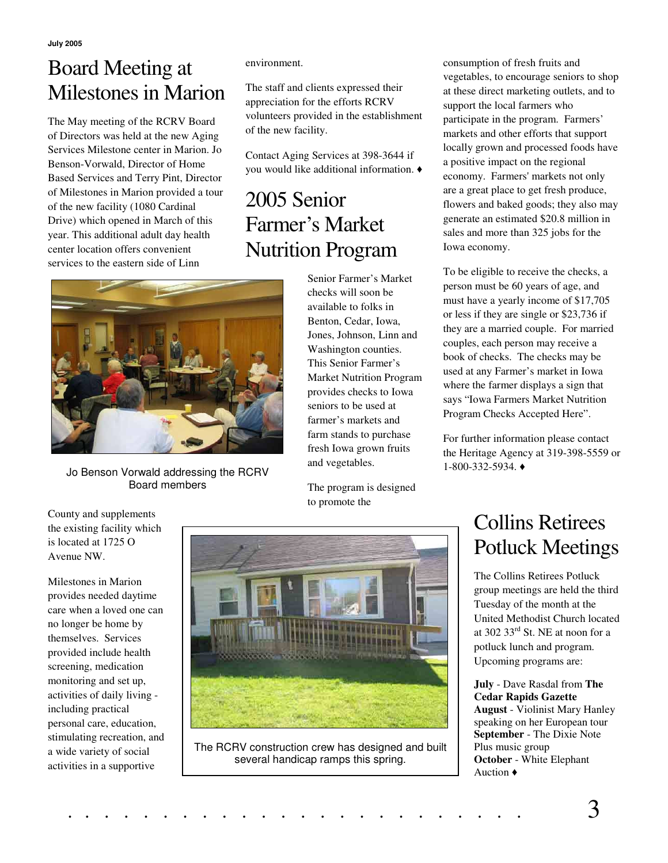### Board Meeting at Milestones in Marion

The May meeting of the RCRV Board of Directors was held at the new Aging Services Milestone center in Marion. Jo Benson-Vorwald, Director of Home Based Services and Terry Pint, Director of Milestones in Marion provided a tour of the new facility (1080 Cardinal Drive) which opened in March of this year. This additional adult day health center location offers convenient services to the eastern side of Linn

environment.

The staff and clients expressed their appreciation for the efforts RCRV volunteers provided in the establishment of the new facility.

Contact Aging Services at 398-3644 if you would like additional information.

### 2005 Senior Farmer's Market Nutrition Program



Jo Benson Vorwald addressing the RCRV Board members

Senior Farmer's Market checks will soon be available to folks in Benton, Cedar, Iowa, Jones, Johnson, Linn and Washington counties. This Senior Farmer's Market Nutrition Program provides checks to Iowa seniors to be used at farmer's markets and farm stands to purchase fresh Iowa grown fruits and vegetables.

The program is designed to promote the

consumption of fresh fruits and vegetables, to encourage seniors to shop at these direct marketing outlets, and to support the local farmers who participate in the program. Farmers' markets and other efforts that support locally grown and processed foods have a positive impact on the regional economy. Farmers'markets not only are a great place to get fresh produce, flowers and baked goods; they also may generate an estimated \$20.8 million in sales and more than 325 jobs for the Iowa economy.

To be eligible to receive the checks, a person must be 60 years of age, and must have a yearly income of \$17,705 or less if they are single or \$23,736 if they are a married couple. For married couples, each person may receive a book of checks. The checks may be used at any Farmer's market in Iowa where the farmer displays a sign that says "Iowa Farmers Market Nutrition Program Checks Accepted Here".

For further information please contact the Heritage Agency at 319-398-5559 or 1-800-332-5934.

### County and supplements the existing facility which is located at 1725 O Avenue NW.

Milestones in Marion provides needed daytime care when a loved one can no longer be home by themselves. Services provided include health screening, medication monitoring and set up, activities of daily living including practical personal care, education, stimulating recreation, and a wide variety of social activities in a supportive



The RCRV construction crew has designed and built several handicap ramps this spring.

### Collins Retirees Potluck Meetings

The Collins Retirees Potluck group meetings are held the third Tuesday of the month at the United Methodist Church located at 302 33 rd St. NE at noon for a potluck lunch and program. Upcoming programs are:

**July** - Dave Rasdal from **The Cedar Rapids Gazette August** - Violinist Mary Hanley speaking on her European tour **September** - The Dixie Note Plus music group **October** - White Elephant Auction  $\triangle$ 

. . . . . . . . . . . . . . . . . . . . . . . . 3